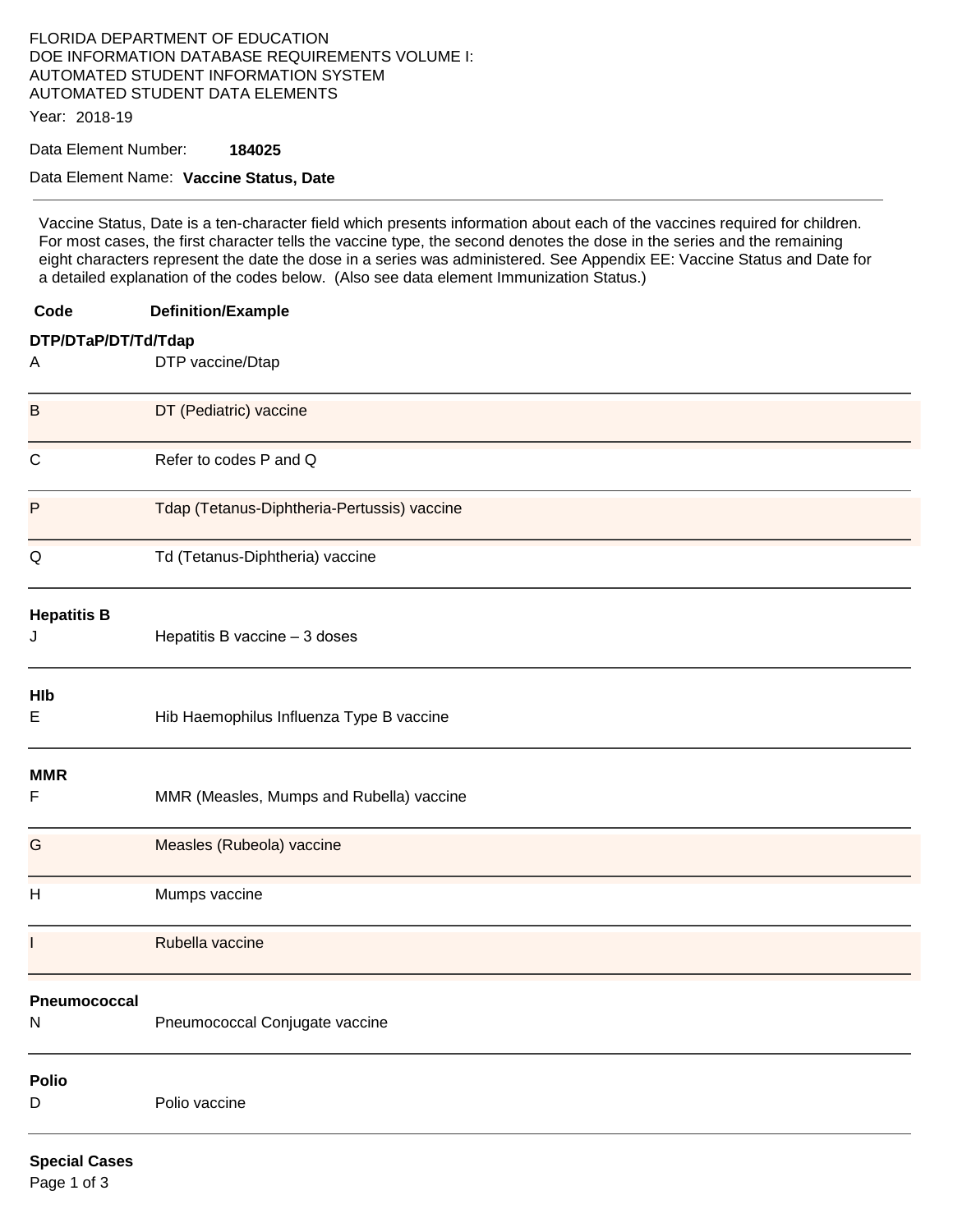## FLORIDA DEPARTMENT OF EDUCATION DOE INFORMATION DATABASE REQUIREMENTS VOLUME I: AUTOMATED STUDENT INFORMATION SYSTEM AUTOMATED STUDENT DATA ELEMENTS

Year: 2018-19

Data Element Number: **184025** 

### Data Element Name: **Vaccine Status, Date**

Vaccine Status, Date is a ten-character field which presents information about each of the vaccines required for children. For most cases, the first character tells the vaccine type, the second denotes the dose in the series and the remaining eight characters represent the date the dose in a series was administered. See Appendix EE: Vaccine Status and Date for a detailed explanation of the codes below. (Also see data element Immunization Status.)

| Code                 | <b>Definition/Example</b>                   |  |  |
|----------------------|---------------------------------------------|--|--|
| DTP/DTaP/DT/Td/Tdap  |                                             |  |  |
| A                    | DTP vaccine/Dtap                            |  |  |
| B                    | DT (Pediatric) vaccine                      |  |  |
| $\mathsf{C}$         | Refer to codes P and Q                      |  |  |
| P                    | Tdap (Tetanus-Diphtheria-Pertussis) vaccine |  |  |
| Q                    | Td (Tetanus-Diphtheria) vaccine             |  |  |
| <b>Hepatitis B</b>   |                                             |  |  |
| J                    | Hepatitis B vaccine - 3 doses               |  |  |
| HIb                  |                                             |  |  |
| Ε                    | Hib Haemophilus Influenza Type B vaccine    |  |  |
| <b>MMR</b>           |                                             |  |  |
| F                    | MMR (Measles, Mumps and Rubella) vaccine    |  |  |
| G                    | Measles (Rubeola) vaccine                   |  |  |
| H                    | Mumps vaccine                               |  |  |
|                      | Rubella vaccine                             |  |  |
| <b>Pheumococcal</b>  |                                             |  |  |
| N                    | Pneumococcal Conjugate vaccine              |  |  |
| <b>Polio</b>         |                                             |  |  |
| D                    | Polio vaccine                               |  |  |
| <b>Special Cases</b> |                                             |  |  |

Page 1 of 3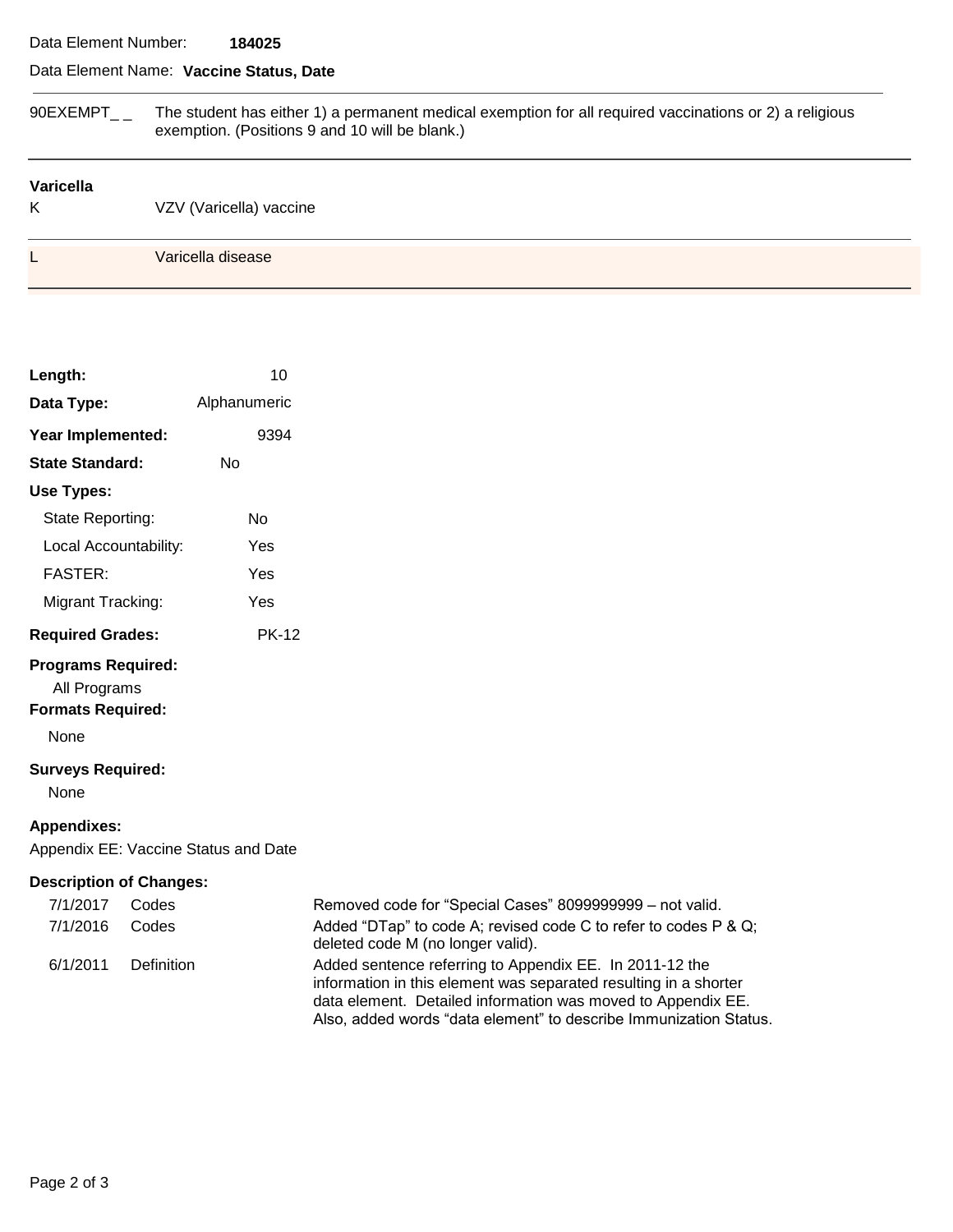### Data Element Number: **184025**

# Data Element Name: **Vaccine Status, Date**

| 90EXEMPT              | The student has either 1) a permanent medical exemption for all required vaccinations or 2) a religious<br>exemption. (Positions 9 and 10 will be blank.) |  |  |
|-----------------------|-----------------------------------------------------------------------------------------------------------------------------------------------------------|--|--|
| <b>Varicella</b><br>Κ | VZV (Varicella) vaccine                                                                                                                                   |  |  |
|                       | Varicella disease                                                                                                                                         |  |  |

| Length:                   | 10           |  |  |  |
|---------------------------|--------------|--|--|--|
| Data Type:                | Alphanumeric |  |  |  |
| Year Implemented:         | 9394         |  |  |  |
| <b>State Standard:</b>    | N٥           |  |  |  |
| Use Types:                |              |  |  |  |
| State Reporting:          | N٥           |  |  |  |
| Local Accountability:     | Yes          |  |  |  |
| <b>FASTER:</b>            | Yes          |  |  |  |
| Migrant Tracking:         | Yes          |  |  |  |
| <b>Required Grades:</b>   | PK-12        |  |  |  |
| <b>Programs Required:</b> |              |  |  |  |

All Programs

**Formats Required:** 

None

## **Surveys Required:**

None

### **Appendixes:**

Appendix EE: Vaccine Status and Date

## **Description of Changes:**

| 7/1/2017 | Codes      | Removed code for "Special Cases" 8099999999 - not valid.                                                                                                                                                                                                         |
|----------|------------|------------------------------------------------------------------------------------------------------------------------------------------------------------------------------------------------------------------------------------------------------------------|
| 7/1/2016 | Codes      | Added "DTap" to code A; revised code C to refer to codes P & Q;<br>deleted code M (no longer valid).                                                                                                                                                             |
| 6/1/2011 | Definition | Added sentence referring to Appendix EE. In 2011-12 the<br>information in this element was separated resulting in a shorter<br>data element. Detailed information was moved to Appendix EE.<br>Also, added words "data element" to describe Immunization Status. |